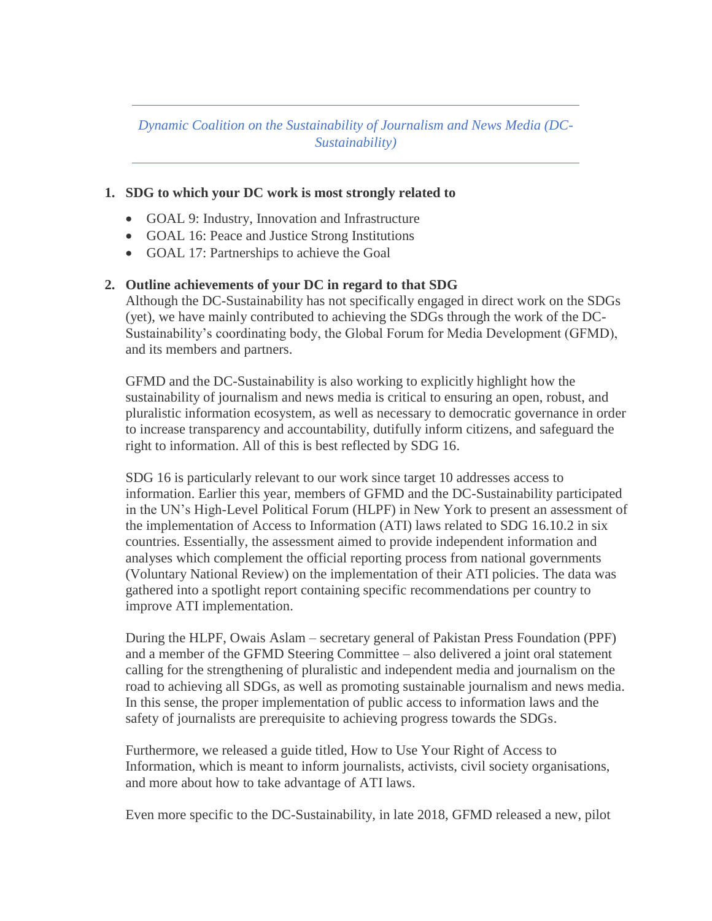*Dynamic Coalition on the Sustainability of Journalism and News Media (DC-Sustainability)*

## **1. SDG to which your DC work is most strongly related to**

- GOAL 9: Industry, Innovation and Infrastructure
- GOAL 16: Peace and Justice Strong Institutions
- GOAL 17: Partnerships to achieve the Goal

## **2. Outline achievements of your DC in regard to that SDG**

Although the DC-Sustainability has not specifically engaged in direct work on the SDGs (yet), we have mainly contributed to achieving the SDGs through the work of the DC-Sustainability's coordinating body, the Global Forum for Media Development (GFMD), and its members and partners.

GFMD and the DC-Sustainability is also working to explicitly highlight how the sustainability of journalism and news media is critical to ensuring an open, robust, and pluralistic information ecosystem, as well as necessary to democratic governance in order to increase transparency and accountability, dutifully inform citizens, and safeguard the right to information. All of this is best reflected by SDG 16.

SDG 16 is particularly relevant to our work since target 10 addresses access to information. Earlier this year, members of GFMD and the DC-Sustainability participated in the UN's High-Level Political Forum (HLPF) in New York to present an assessment of the implementation of Access to Information (ATI) laws related to SDG 16.10.2 in six countries. Essentially, the assessment aimed to provide independent information and analyses which complement the official reporting process from national governments (Voluntary National Review) on the implementation of their ATI policies. The data was gathered into a spotlight report containing specific recommendations per country to improve ATI implementation.

During the HLPF, Owais Aslam – secretary general of Pakistan Press Foundation (PPF) and a member of the GFMD Steering Committee – also delivered a joint oral statement calling for the strengthening of pluralistic and independent media and journalism on the road to achieving all SDGs, as well as promoting sustainable journalism and news media. In this sense, the proper implementation of public access to information laws and the safety of journalists are prerequisite to achieving progress towards the SDGs.

Furthermore, we released a guide titled, How to Use Your Right of Access to Information, which is meant to inform journalists, activists, civil society organisations, and more about how to take advantage of ATI laws.

Even more specific to the DC-Sustainability, in late 2018, GFMD released a new, pilot